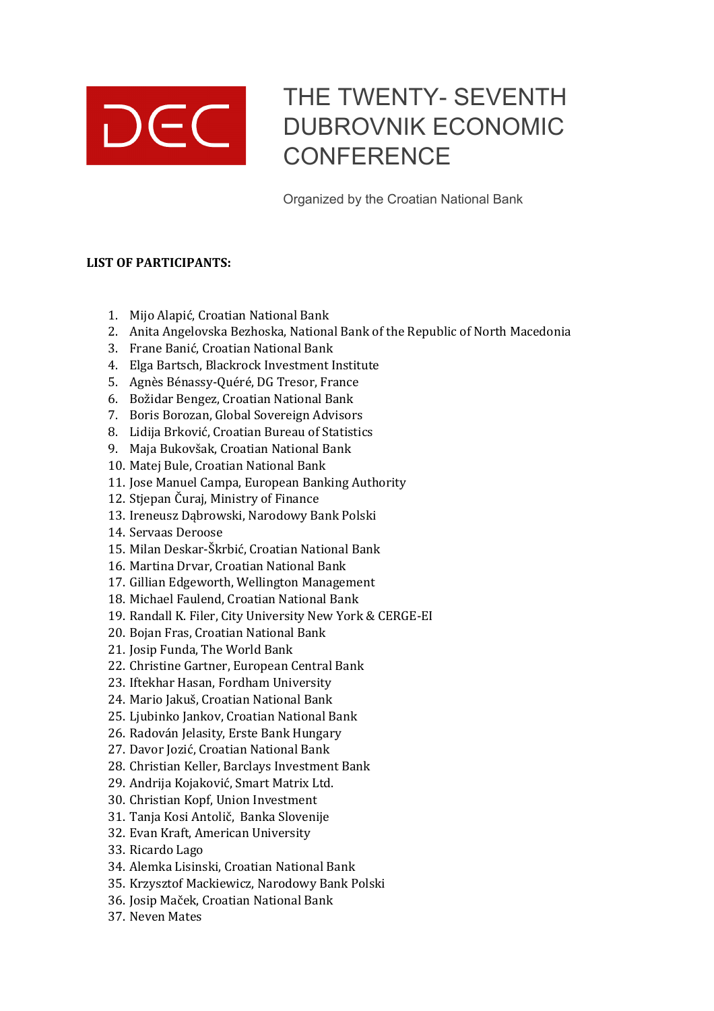

## THE TWENTY- SEVENTH DUBROVNIK ECONOMIC **CONFERENCE**

Organized by the Croatian National Bank

## **LIST OF PARTICIPANTS:**

- 1. Mijo Alapić, Croatian National Bank
- 2. Anita Angelovska Bezhoska, National Bank of the Republic of North Macedonia
- 3. Frane Banić, Croatian National Bank
- 4. Elga Bartsch, Blackrock Investment Institute
- 5. Agnès Bénassy-Quéré, DG Tresor, France
- 6. Božidar Bengez, Croatian National Bank
- 7. Boris Borozan, Global Sovereign Advisors
- 8. Lidija Brković, Croatian Bureau of Statistics
- 9. Maja Bukovšak, Croatian National Bank
- 10. Matej Bule, Croatian National Bank
- 11. Jose Manuel Campa, European Banking Authority
- 12. Stjepan Čuraj, Ministry of Finance
- 13. Ireneusz Dabrowski, Narodowy Bank Polski
- 14. Servaas Deroose
- 15. Milan Deskar-Škrbić, Croatian National Bank
- 16. Martina Drvar, Croatian National Bank
- 17. Gillian Edgeworth, Wellington Management
- 18. Michael Faulend, Croatian National Bank
- 19. Randall K. Filer, City University New York & CERGE-EI
- 20. Bojan Fras, Croatian National Bank
- 21. Josip Funda, The World Bank
- 22. Christine Gartner, European Central Bank
- 23. Iftekhar Hasan, Fordham University
- 24. Mario Jakuš, Croatian National Bank
- 25. Ljubinko Jankov, Croatian National Bank
- 26. Radován Jelasity, Erste Bank Hungary
- 27. Davor Jozić, Croatian National Bank
- 28. Christian Keller, Barclays Investment Bank
- 29. Andrija Kojaković, Smart Matrix Ltd.
- 30. Christian Kopf, Union Investment
- 31. Tanja Kosi Antolič, Banka Slovenije
- 32. Evan Kraft, American University
- 33. Ricardo Lago
- 34. Alemka Lisinski, Croatian National Bank
- 35. Krzysztof Mackiewicz, Narodowy Bank Polski
- 36. Josip Maček, Croatian National Bank
- 37. Neven Mates